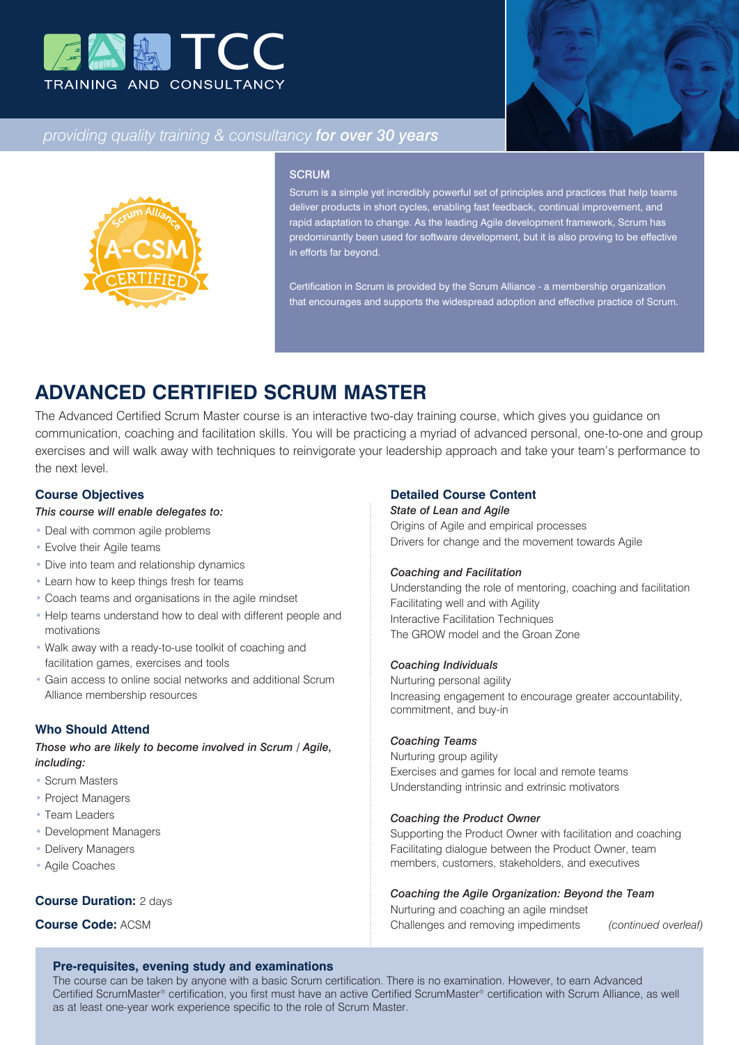



# *providing quality training & consultancy for over 30 years*



### **SCRUM**

Scrum is a simple yet incredibly powerful set of principles and practices that help teams liver products in short cycles, enabling fast feedback, continual improvement, and rapid adaptation to change. As the leading Agile development framework, Scrum has predominantly been used for software development, but it is also proving to be effective in efforts far beyond.

Certification in Scrum is provided by the Scrum Alliance - a membership organization that encourages and supports the widespread adoption and effective practice of Scrum.

# **ADVANCED CERTIFIED SCRUM MASTER**

The Advanced Certified Scrum Master course is an interactive two-day training course, which gives you guidance on communication, coaching and facilitation skills. You will be practicing a myriad of advanced personal, one-to-one and group exercises and will walk away with techniques to reinvigorate your leadership approach and take your team's performance to the next level.

# **Course Objectives**

## *This course will enable delegates to:*

- Deal with common agile problems
- Evolve their Agile teams
- Dive into team and relationship dynamics
- Learn how to keep things fresh for teams
- Coach teams and organisations in the agile mindset
- Help teams understand how to deal with different people and motivations
- Walk away with a ready-to-use toolkit of coaching and facilitation games, exercises and tools
- Gain access to online social networks and additional Scrum Alliance membership resources

# **Who Should Attend**

*Those who are likely to become involved in Scrum / Agile, including:*

## • Scrum Masters

- Project Managers
- Team Leaders
- Development Managers
- Delivery Managers
- Agile Coaches

## **Course Duration:** 2 days

**Course Code:** ACSM

# **Detailed Course Content**

#### *State of Lean and Agile*

Origins of Agile and empirical processes Drivers for change and the movement towards Agile

#### *Coaching and Facilitation*

Understanding the role of mentoring, coaching and facilitation Facilitating well and with Agility Interactive Facilitation Techniques The GROW model and the Groan Zone

#### *Coaching Individuals*

Nurturing personal agility Increasing engagement to encourage greater accountability, commitment, and buy-in

# *Coaching Teams*

Nurturing group agility Exercises and games for local and remote teams Understanding intrinsic and extrinsic motivators

#### *Coaching the Product Owner*

Supporting the Product Owner with facilitation and coaching Facilitating dialogue between the Product Owner, team members, customers, stakeholders, and executives

#### *Coaching the Agile Organization: Beyond the Team*

Nurturing and coaching an agile mindset Challenges and removing impediments *(continued overleaf)*

## **Pre-requisites, evening study and examinations**

The course can be taken by anyone with a basic Scrum certification. There is no examination. However, to earn Advanced Certified ScrumMaster® certification, you first must have an active Certified ScrumMaster® certification with Scrum Alliance, as well as at least one-year work experience specific to the role of Scrum Master.